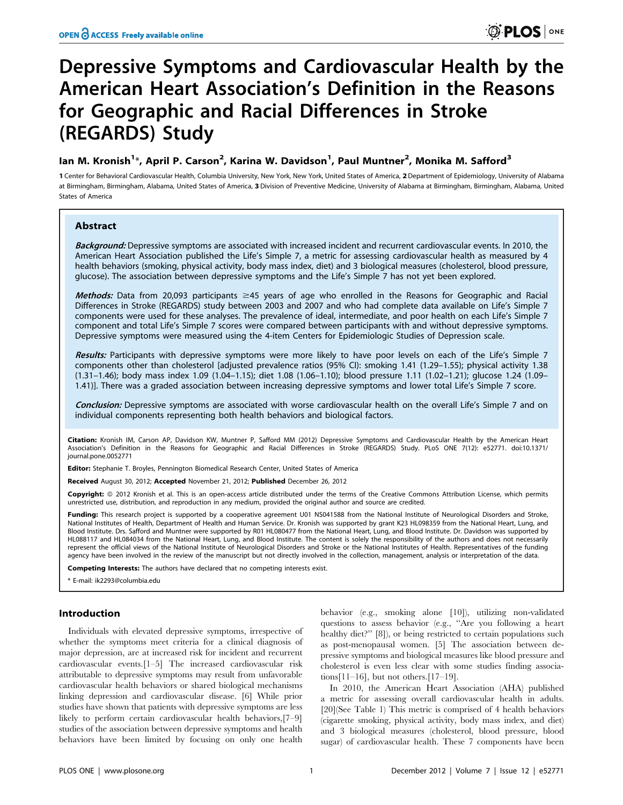# Depressive Symptoms and Cardiovascular Health by the American Heart Association's Definition in the Reasons for Geographic and Racial Differences in Stroke (REGARDS) Study

# lan M. Kronish<sup>1</sup>\*, April P. Carson<sup>2</sup>, Karina W. Davidson<sup>1</sup>, Paul Muntner<sup>2</sup>, Monika M. Safford<sup>3</sup>

1 Center for Behavioral Cardiovascular Health, Columbia University, New York, New York, United States of America, 2 Department of Epidemiology, University of Alabama at Birmingham, Birmingham, Alabama, United States of America, 3 Division of Preventive Medicine, University of Alabama at Birmingham, Birmingham, Alabama, United States of America

# Abstract

Background: Depressive symptoms are associated with increased incident and recurrent cardiovascular events. In 2010, the American Heart Association published the Life's Simple 7, a metric for assessing cardiovascular health as measured by 4 health behaviors (smoking, physical activity, body mass index, diet) and 3 biological measures (cholesterol, blood pressure, glucose). The association between depressive symptoms and the Life's Simple 7 has not yet been explored.

Methods: Data from 20,093 participants  $\geq$ 45 years of age who enrolled in the Reasons for Geographic and Racial Differences in Stroke (REGARDS) study between 2003 and 2007 and who had complete data available on Life's Simple 7 components were used for these analyses. The prevalence of ideal, intermediate, and poor health on each Life's Simple 7 component and total Life's Simple 7 scores were compared between participants with and without depressive symptoms. Depressive symptoms were measured using the 4-item Centers for Epidemiologic Studies of Depression scale.

Results: Participants with depressive symptoms were more likely to have poor levels on each of the Life's Simple 7 components other than cholesterol [adjusted prevalence ratios (95% CI): smoking 1.41 (1.29–1.55); physical activity 1.38 (1.31–1.46); body mass index 1.09 (1.04–1.15); diet 1.08 (1.06–1.10); blood pressure 1.11 (1.02–1.21); glucose 1.24 (1.09– 1.41)]. There was a graded association between increasing depressive symptoms and lower total Life's Simple 7 score.

Conclusion: Depressive symptoms are associated with worse cardiovascular health on the overall Life's Simple 7 and on individual components representing both health behaviors and biological factors.

Citation: Kronish IM, Carson AP, Davidson KW, Muntner P, Safford MM (2012) Depressive Symptoms and Cardiovascular Health by the American Heart Association's Definition in the Reasons for Geographic and Racial Differences in Stroke (REGARDS) Study. PLoS ONE 7(12): e52771. doi:10.1371/ journal.pone.0052771

Editor: Stephanie T. Broyles, Pennington Biomedical Research Center, United States of America

Received August 30, 2012; Accepted November 21, 2012; Published December 26, 2012

Copyright: © 2012 Kronish et al. This is an open-access article distributed under the terms of the Creative Commons Attribution License, which permits unrestricted use, distribution, and reproduction in any medium, provided the original author and source are credited.

Funding: This research project is supported by a cooperative agreement U01 NS041588 from the National Institute of Neurological Disorders and Stroke, National Institutes of Health, Department of Health and Human Service. Dr. Kronish was supported by grant K23 HL098359 from the National Heart, Lung, and Blood Institute. Drs. Safford and Muntner were supported by R01 HL080477 from the National Heart, Lung, and Blood Institute. Dr. Davidson was supported by HL088117 and HL084034 from the National Heart, Lung, and Blood Institute. The content is solely the responsibility of the authors and does not necessarily represent the official views of the National Institute of Neurological Disorders and Stroke or the National Institutes of Health. Representatives of the funding agency have been involved in the review of the manuscript but not directly involved in the collection, management, analysis or interpretation of the data.

Competing Interests: The authors have declared that no competing interests exist.

\* E-mail: ik2293@columbia.edu

# Introduction

Individuals with elevated depressive symptoms, irrespective of whether the symptoms meet criteria for a clinical diagnosis of major depression, are at increased risk for incident and recurrent cardiovascular events.[1–5] The increased cardiovascular risk attributable to depressive symptoms may result from unfavorable cardiovascular health behaviors or shared biological mechanisms linking depression and cardiovascular disease. [6] While prior studies have shown that patients with depressive symptoms are less likely to perform certain cardiovascular health behaviors,[7–9] studies of the association between depressive symptoms and health behaviors have been limited by focusing on only one health

behavior (e.g., smoking alone [10]), utilizing non-validated questions to assess behavior (e.g., ''Are you following a heart healthy diet?" [8]), or being restricted to certain populations such as post-menopausal women. [5] The association between depressive symptoms and biological measures like blood pressure and cholesterol is even less clear with some studies finding associations $[11-16]$ , but not others. $[17-19]$ .

In 2010, the American Heart Association (AHA) published a metric for assessing overall cardiovascular health in adults. [20](See Table 1) This metric is comprised of 4 health behaviors (cigarette smoking, physical activity, body mass index, and diet) and 3 biological measures (cholesterol, blood pressure, blood sugar) of cardiovascular health. These 7 components have been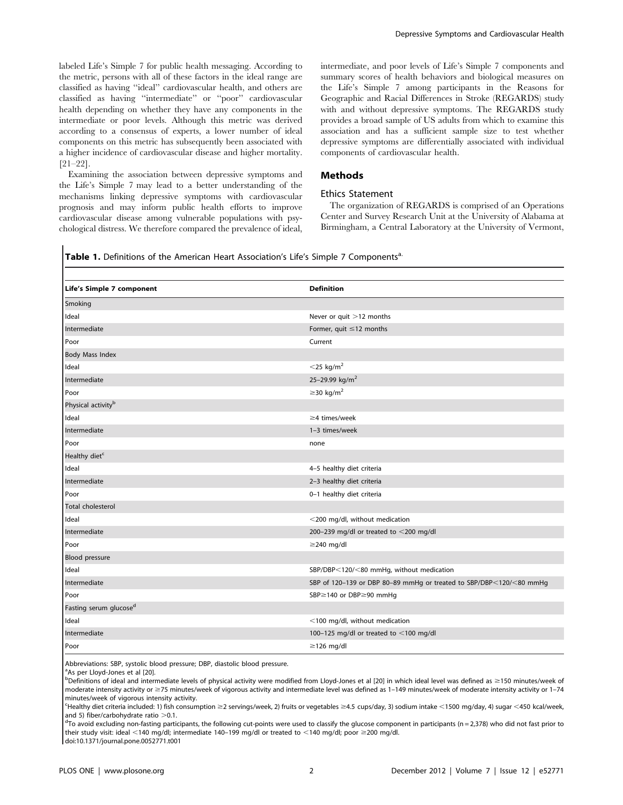labeled Life's Simple 7 for public health messaging. According to the metric, persons with all of these factors in the ideal range are classified as having ''ideal'' cardiovascular health, and others are classified as having ''intermediate'' or ''poor'' cardiovascular health depending on whether they have any components in the intermediate or poor levels. Although this metric was derived according to a consensus of experts, a lower number of ideal components on this metric has subsequently been associated with a higher incidence of cardiovascular disease and higher mortality. [21–22].

Examining the association between depressive symptoms and the Life's Simple 7 may lead to a better understanding of the mechanisms linking depressive symptoms with cardiovascular prognosis and may inform public health efforts to improve cardiovascular disease among vulnerable populations with psychological distress. We therefore compared the prevalence of ideal, intermediate, and poor levels of Life's Simple 7 components and summary scores of health behaviors and biological measures on the Life's Simple 7 among participants in the Reasons for Geographic and Racial Differences in Stroke (REGARDS) study with and without depressive symptoms. The REGARDS study provides a broad sample of US adults from which to examine this association and has a sufficient sample size to test whether depressive symptoms are differentially associated with individual components of cardiovascular health.

# Methods

# Ethics Statement

The organization of REGARDS is comprised of an Operations Center and Survey Research Unit at the University of Alabama at Birmingham, a Central Laboratory at the University of Vermont,

### Table 1. Definitions of the American Heart Association's Life's Simple 7 Components<sup>a.</sup>

| Life's Simple 7 component          | <b>Definition</b>                                                   |
|------------------------------------|---------------------------------------------------------------------|
| Smoking                            |                                                                     |
| Ideal                              | Never or quit >12 months                                            |
| Intermediate                       | Former, quit $\leq$ 12 months                                       |
| Poor                               | Current                                                             |
| <b>Body Mass Index</b>             |                                                                     |
| Ideal                              | $<$ 25 kg/m <sup>2</sup>                                            |
| Intermediate                       | 25-29.99 kg/m <sup>2</sup>                                          |
| Poor                               | $\geq$ 30 kg/m <sup>2</sup>                                         |
| Physical activity <sup>b</sup>     |                                                                     |
| Ideal                              | $\geq$ 4 times/week                                                 |
| Intermediate                       | 1-3 times/week                                                      |
| Poor                               | none                                                                |
| Healthy diet <sup>c</sup>          |                                                                     |
| Ideal                              | 4-5 healthy diet criteria                                           |
| Intermediate                       | 2-3 healthy diet criteria                                           |
| Poor                               | 0-1 healthy diet criteria                                           |
| <b>Total cholesterol</b>           |                                                                     |
| Ideal                              | <200 mg/dl, without medication                                      |
| Intermediate                       | 200-239 mg/dl or treated to $<$ 200 mg/dl                           |
| Poor                               | $\geq$ 240 mg/dl                                                    |
| <b>Blood pressure</b>              |                                                                     |
| Ideal                              | SBP/DBP<120/<80 mmHg, without medication                            |
| Intermediate                       | SBP of 120-139 or DBP 80-89 mmHg or treated to SBP/DBP<120/<80 mmHg |
| Poor                               | SBP≥140 or DBP≥90 mmHg                                              |
| Fasting serum glucose <sup>d</sup> |                                                                     |
| Ideal                              | <100 mg/dl, without medication                                      |
| Intermediate                       | 100-125 mg/dl or treated to $<$ 100 mg/dl                           |
| Poor                               | $\geq$ 126 mg/dl                                                    |

Abbreviations: SBP, systolic blood pressure; DBP, diastolic blood pressure.

<sup>a</sup>As per Lloyd-Jones et al [20].

 $^{\rm b}$ Definitions of ideal and intermediate levels of physical activity were modified from Lloyd-Jones et al [20] in which ideal level was defined as ≥150 minutes/week of moderate intensity activity or \$75 minutes/week of vigorous activity and intermediate level was defined as 1–149 minutes/week of moderate intensity activity or 1–74 minutes/week of vigorous intensity activity.

ecology in the direct displaned: 1) fish consumption ≥2 servings/week, 2) fruits or vegetables ≥4.5 cups/day, 3) sodium intake  $\lt$ 1500 mg/day, 4) sugar  $\lt$ 450 kcal/week, and 5) fiber/carbohydrate ratio  $>$  0.1.

 $^{d}$ To avoid excluding non-fasting participants, the following cut-points were used to classify the glucose component in participants (n = 2,378) who did not fast prior to their study visit: ideal <140 mg/dl; intermediate 140-199 mg/dl or treated to <140 mg/dl; poor  $\geq$ 200 mg/dl.

doi:10.1371/journal.pone.0052771.t001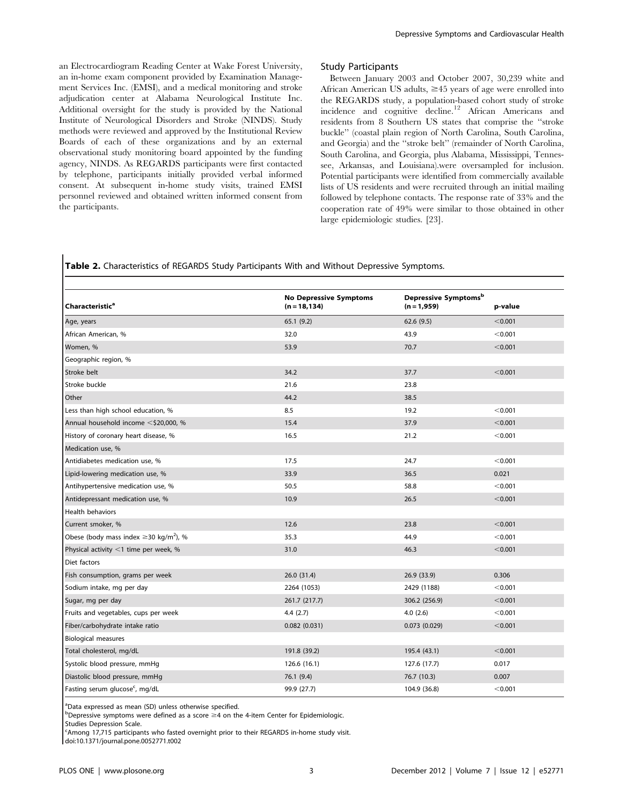an Electrocardiogram Reading Center at Wake Forest University, an in-home exam component provided by Examination Management Services Inc. (EMSI), and a medical monitoring and stroke adjudication center at Alabama Neurological Institute Inc. Additional oversight for the study is provided by the National Institute of Neurological Disorders and Stroke (NINDS). Study methods were reviewed and approved by the Institutional Review Boards of each of these organizations and by an external observational study monitoring board appointed by the funding agency, NINDS. As REGARDS participants were first contacted by telephone, participants initially provided verbal informed consent. At subsequent in-home study visits, trained EMSI personnel reviewed and obtained written informed consent from the participants.

# Study Participants

Between January 2003 and October 2007, 30,239 white and African American US adults,  $\geq 45$  years of age were enrolled into the REGARDS study, a population-based cohort study of stroke incidence and cognitive decline.<sup>12</sup> African Americans and residents from 8 Southern US states that comprise the ''stroke buckle'' (coastal plain region of North Carolina, South Carolina, and Georgia) and the ''stroke belt'' (remainder of North Carolina, South Carolina, and Georgia, plus Alabama, Mississippi, Tennessee, Arkansas, and Louisiana).were oversampled for inclusion. Potential participants were identified from commercially available lists of US residents and were recruited through an initial mailing followed by telephone contacts. The response rate of 33% and the cooperation rate of 49% were similar to those obtained in other large epidemiologic studies. [23].

# Table 2. Characteristics of REGARDS Study Participants With and Without Depressive Symptoms.

| Characteristic <sup>a</sup>                             | <b>No Depressive Symptoms</b><br>$(n = 18, 134)$ | Depressive Symptomsb<br>$(n = 1,959)$ | p-value |
|---------------------------------------------------------|--------------------------------------------------|---------------------------------------|---------|
| Age, years                                              | 65.1(9.2)                                        | 62.6(9.5)                             | < 0.001 |
| African American, %                                     | 32.0                                             | 43.9                                  | < 0.001 |
| Women, %                                                | 53.9                                             | 70.7                                  | < 0.001 |
| Geographic region, %                                    |                                                  |                                       |         |
| Stroke belt                                             | 34.2                                             | 37.7                                  | < 0.001 |
| Stroke buckle                                           | 21.6                                             | 23.8                                  |         |
| Other                                                   | 44.2                                             | 38.5                                  |         |
| Less than high school education, %                      | 8.5                                              | 19.2                                  | < 0.001 |
| Annual household income <\$20,000, %                    | 15.4                                             | 37.9                                  | < 0.001 |
| History of coronary heart disease, %                    | 16.5                                             | 21.2                                  | < 0.001 |
| Medication use, %                                       |                                                  |                                       |         |
| Antidiabetes medication use, %                          | 17.5                                             | 24.7                                  | < 0.001 |
| Lipid-lowering medication use, %                        | 33.9                                             | 36.5                                  | 0.021   |
| Antihypertensive medication use, %                      | 50.5                                             | 58.8                                  | < 0.001 |
| Antidepressant medication use, %                        | 10.9                                             | 26.5                                  | < 0.001 |
| Health behaviors                                        |                                                  |                                       |         |
| Current smoker, %                                       | 12.6                                             | 23.8                                  | < 0.001 |
| Obese (body mass index $\geq$ 30 kg/m <sup>2</sup> ), % | 35.3                                             | 44.9                                  | < 0.001 |
| Physical activity $\leq$ 1 time per week, %             | 31.0                                             | 46.3                                  | < 0.001 |
| Diet factors                                            |                                                  |                                       |         |
| Fish consumption, grams per week                        | 26.0 (31.4)                                      | 26.9 (33.9)                           | 0.306   |
| Sodium intake, mg per day                               | 2264 (1053)                                      | 2429 (1188)                           | < 0.001 |
| Sugar, mg per day                                       | 261.7 (217.7)                                    | 306.2 (256.9)                         | < 0.001 |
| Fruits and vegetables, cups per week                    | 4.4(2.7)                                         | 4.0(2.6)                              | < 0.001 |
| Fiber/carbohydrate intake ratio                         | 0.082(0.031)                                     | 0.073(0.029)                          | < 0.001 |
| <b>Biological measures</b>                              |                                                  |                                       |         |
| Total cholesterol, mg/dL                                | 191.8 (39.2)                                     | 195.4 (43.1)                          | < 0.001 |
| Systolic blood pressure, mmHg                           | 126.6 (16.1)                                     | 127.6 (17.7)                          | 0.017   |
| Diastolic blood pressure, mmHq                          | 76.1(9.4)                                        | 76.7 (10.3)                           | 0.007   |
| Fasting serum glucose <sup>c</sup> , mg/dL              | 99.9 (27.7)                                      | 104.9 (36.8)                          | < 0.001 |

<sup>a</sup>Data expressed as mean (SD) unless otherwise specified.

 $^{\text{b}}$ Depressive symptoms were defined as a score  $\geq$ 4 on the 4-item Center for Epidemiologic.

Studies Depression Scale.

<sup>c</sup>Among 17,715 participants who fasted overnight prior to their REGARDS in-home study visit.

doi:10.1371/journal.pone.0052771.t002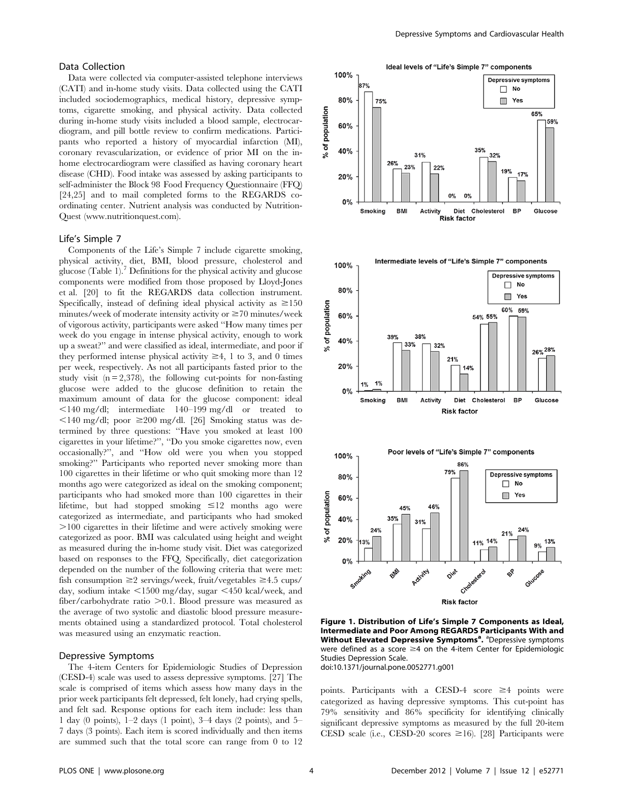# Data Collection

Data were collected via computer-assisted telephone interviews (CATI) and in-home study visits. Data collected using the CATI included sociodemographics, medical history, depressive symptoms, cigarette smoking, and physical activity. Data collected during in-home study visits included a blood sample, electrocardiogram, and pill bottle review to confirm medications. Participants who reported a history of myocardial infarction (MI), coronary revascularization, or evidence of prior MI on the inhome electrocardiogram were classified as having coronary heart disease (CHD). Food intake was assessed by asking participants to self-administer the Block 98 Food Frequency Questionnaire (FFQ) [24,25] and to mail completed forms to the REGARDS coordinating center. Nutrient analysis was conducted by Nutrition-Quest (www.nutritionquest.com).

# Life's Simple 7

Components of the Life's Simple 7 include cigarette smoking, physical activity, diet, BMI, blood pressure, cholesterol and glucose (Table 1).<sup>7</sup> Definitions for the physical activity and glucose components were modified from those proposed by Lloyd-Jones et al. [20] to fit the REGARDS data collection instrument. Specifically, instead of defining ideal physical activity as  $\geq 150$ minutes/week of moderate intensity activity or  $\geq$  70 minutes/week of vigorous activity, participants were asked ''How many times per week do you engage in intense physical activity, enough to work up a sweat?'' and were classified as ideal, intermediate, and poor if they performed intense physical activity  $\geq 4$ , 1 to 3, and 0 times per week, respectively. As not all participants fasted prior to the study visit  $(n = 2,378)$ , the following cut-points for non-fasting glucose were added to the glucose definition to retain the maximum amount of data for the glucose component: ideal  $\leq$ 140 mg/dl; intermediate 140–199 mg/dl or treated to  $\leq$ 140 mg/dl; poor  $\geq$ 200 mg/dl. [26] Smoking status was determined by three questions: ''Have you smoked at least 100 cigarettes in your lifetime?'', ''Do you smoke cigarettes now, even occasionally?'', and ''How old were you when you stopped smoking?" Participants who reported never smoking more than 100 cigarettes in their lifetime or who quit smoking more than 12 months ago were categorized as ideal on the smoking component; participants who had smoked more than 100 cigarettes in their lifetime, but had stopped smoking  $\leq 12$  months ago were categorized as intermediate, and participants who had smoked .100 cigarettes in their lifetime and were actively smoking were categorized as poor. BMI was calculated using height and weight as measured during the in-home study visit. Diet was categorized based on responses to the FFQ. Specifically, diet categorization depended on the number of the following criteria that were met: fish consumption  $\geq$ 2 servings/week, fruit/vegetables  $\geq$ 4.5 cups/ day, sodium intake  $\leq 1500$  mg/day, sugar  $\leq 450$  kcal/week, and fiber/carbohydrate ratio  $>0.1$ . Blood pressure was measured as the average of two systolic and diastolic blood pressure measurements obtained using a standardized protocol. Total cholesterol was measured using an enzymatic reaction.

#### Depressive Symptoms

The 4-item Centers for Epidemiologic Studies of Depression (CESD-4) scale was used to assess depressive symptoms. [27] The scale is comprised of items which assess how many days in the prior week participants felt depressed, felt lonely, had crying spells, and felt sad. Response options for each item include: less than 1 day (0 points), 1–2 days (1 point), 3–4 days (2 points), and 5– 7 days (3 points). Each item is scored individually and then items are summed such that the total score can range from 0 to 12



**Risk factor** 

Figure 1. Distribution of Life's Simple 7 Components as Ideal, Intermediate and Poor Among REGARDS Participants With and Without Elevated Depressive Symptoms<sup>a</sup>. <sup>a</sup>Depressive symptoms were defined as a score  $\geq$ 4 on the 4-item Center for Epidemiologic Studies Depression Scale. doi:10.1371/journal.pone.0052771.g001

points. Participants with a CESD-4 score  $\geq 4$  points were categorized as having depressive symptoms. This cut-point has 79% sensitivity and 86% specificity for identifying clinically significant depressive symptoms as measured by the full 20-item CESD scale (i.e., CESD-20 scores  $\geq 16$ ). [28] Participants were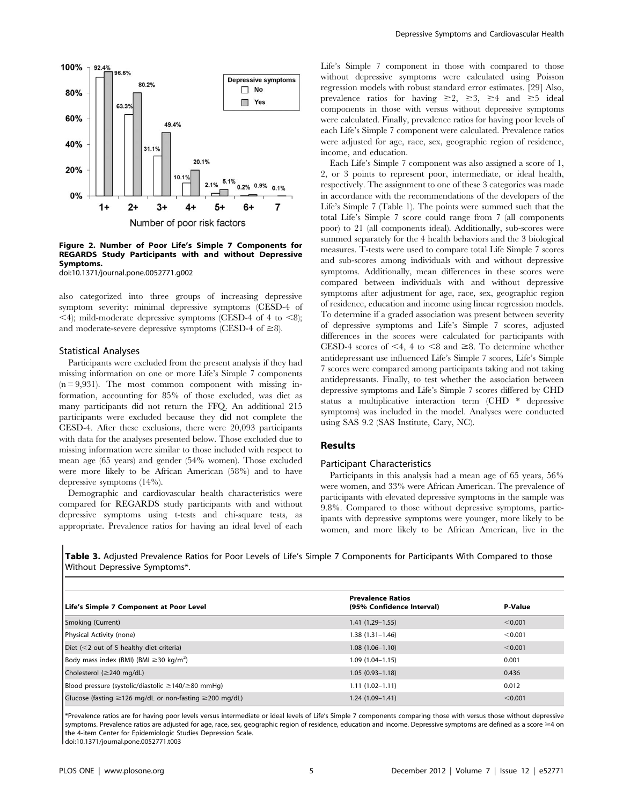

#### Figure 2. Number of Poor Life's Simple 7 Components for REGARDS Study Participants with and without Depressive Symptoms.

doi:10.1371/journal.pone.0052771.g002

also categorized into three groups of increasing depressive symptom severity: minimal depressive symptoms (CESD-4 of  $\leq$ 4); mild-moderate depressive symptoms (CESD-4 of 4 to  $\leq$ 8); and moderate-severe depressive symptoms (CESD-4 of  $\geq$ 8).

#### Statistical Analyses

Participants were excluded from the present analysis if they had missing information on one or more Life's Simple 7 components  $(n = 9.931)$ . The most common component with missing information, accounting for 85% of those excluded, was diet as many participants did not return the FFQ. An additional 215 participants were excluded because they did not complete the CESD-4. After these exclusions, there were 20,093 participants with data for the analyses presented below. Those excluded due to missing information were similar to those included with respect to mean age (65 years) and gender (54% women). Those excluded were more likely to be African American (58%) and to have depressive symptoms (14%).

Demographic and cardiovascular health characteristics were compared for REGARDS study participants with and without depressive symptoms using t-tests and chi-square tests, as appropriate. Prevalence ratios for having an ideal level of each

Life's Simple 7 component in those with compared to those without depressive symptoms were calculated using Poisson regression models with robust standard error estimates. [29] Also, prevalence ratios for having  $\geq 2$ ,  $\geq 3$ ,  $\geq 4$  and  $\geq 5$  ideal components in those with versus without depressive symptoms were calculated. Finally, prevalence ratios for having poor levels of each Life's Simple 7 component were calculated. Prevalence ratios were adjusted for age, race, sex, geographic region of residence, income, and education.

Each Life's Simple 7 component was also assigned a score of 1, 2, or 3 points to represent poor, intermediate, or ideal health, respectively. The assignment to one of these 3 categories was made in accordance with the recommendations of the developers of the Life's Simple 7 (Table 1). The points were summed such that the total Life's Simple 7 score could range from 7 (all components poor) to 21 (all components ideal). Additionally, sub-scores were summed separately for the 4 health behaviors and the 3 biological measures. T-tests were used to compare total Life Simple 7 scores and sub-scores among individuals with and without depressive symptoms. Additionally, mean differences in these scores were compared between individuals with and without depressive symptoms after adjustment for age, race, sex, geographic region of residence, education and income using linear regression models. To determine if a graded association was present between severity of depressive symptoms and Life's Simple 7 scores, adjusted differences in the scores were calculated for participants with CESD-4 scores of  $\leq 4$ , 4 to  $\leq 8$  and  $\geq 8$ . To determine whether antidepressant use influenced Life's Simple 7 scores, Life's Simple 7 scores were compared among participants taking and not taking antidepressants. Finally, to test whether the association between depressive symptoms and Life's Simple 7 scores differed by CHD status a multiplicative interaction term (CHD \* depressive symptoms) was included in the model. Analyses were conducted using SAS 9.2 (SAS Institute, Cary, NC).

# Results

# Participant Characteristics

Participants in this analysis had a mean age of 65 years, 56% were women, and 33% were African American. The prevalence of participants with elevated depressive symptoms in the sample was 9.8%. Compared to those without depressive symptoms, participants with depressive symptoms were younger, more likely to be women, and more likely to be African American, live in the

Table 3. Adjusted Prevalence Ratios for Poor Levels of Life's Simple 7 Components for Participants With Compared to those Without Depressive Symptoms\*.

| Life's Simple 7 Component at Poor Level                            | <b>Prevalence Ratios</b><br>(95% Confidence Interval) | P-Value |
|--------------------------------------------------------------------|-------------------------------------------------------|---------|
| Smoking (Current)                                                  | $1.41(1.29-1.55)$                                     | < 0.001 |
| Physical Activity (none)                                           | $1.38(1.31 - 1.46)$                                   | < 0.001 |
| Diet $(<$ 2 out of 5 healthy diet criteria)                        | $1.08(1.06 - 1.10)$                                   | < 0.001 |
| Body mass index (BMI) (BMI $\geq$ 30 kg/m <sup>2</sup> )           | $1.09(1.04 - 1.15)$                                   | 0.001   |
| Cholesterol ( $\geq$ 240 mg/dL)                                    | $1.05(0.93 - 1.18)$                                   | 0.436   |
| Blood pressure (systolic/diastolic $\geq$ 140/ $\geq$ 80 mmHg)     | $1.11(1.02 - 1.11)$                                   | 0.012   |
| Glucose (fasting $\geq$ 126 mg/dL or non-fasting $\geq$ 200 mg/dL) | $1.24(1.09-1.41)$                                     | < 0.001 |

\*Prevalence ratios are for having poor levels versus intermediate or ideal levels of Life's Simple 7 components comparing those with versus those without depressive symptoms. Prevalence ratios are adjusted for age, race, sex, geographic region of residence, education and income. Depressive symptoms are defined as a score  $\geq 4$  on the 4-item Center for Epidemiologic Studies Depression Scale.

doi:10.1371/journal.pone.0052771.t003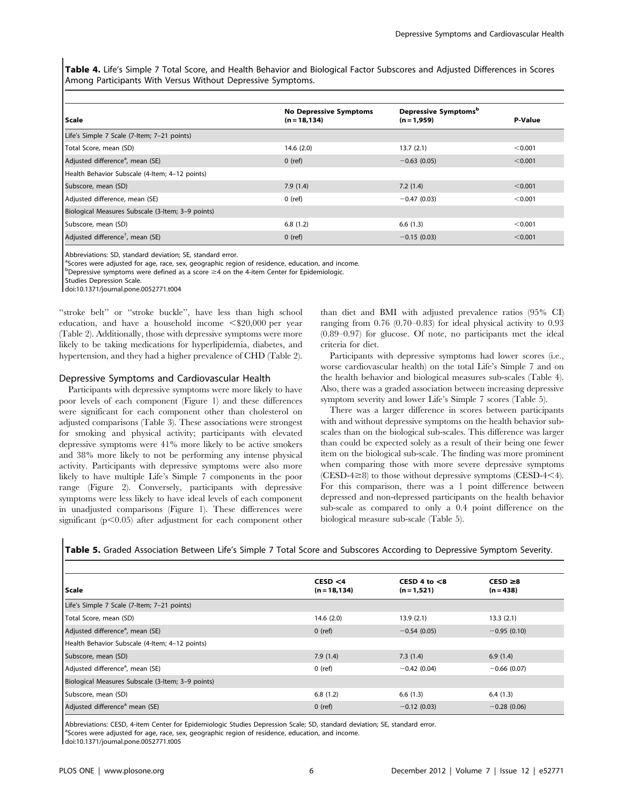Table 4. Life's Simple 7 Total Score, and Health Behavior and Biological Factor Subscores and Adjusted Differences in Scores Among Participants With Versus Without Depressive Symptoms.

| Scale                                             | <b>No Depressive Symptoms</b><br>$(n = 18, 134)$ | Depressive Symptoms <sup>b</sup><br>$(n = 1,959)$ | P-Value |
|---------------------------------------------------|--------------------------------------------------|---------------------------------------------------|---------|
| Life's Simple 7 Scale (7-Item; 7-21 points)       |                                                  |                                                   |         |
| Total Score, mean (SD)                            | 14.6(2.0)                                        | 13.7(2.1)                                         | < 0.001 |
| Adjusted difference <sup>a</sup> , mean (SE)      | $0$ (ref)                                        | $-0.63(0.05)$                                     | < 0.001 |
| Health Behavior Subscale (4-Item; 4-12 points)    |                                                  |                                                   |         |
| Subscore, mean (SD)                               | 7.9(1.4)                                         | 7.2(1.4)                                          | < 0.001 |
| Adjusted difference, mean (SE)                    | $0$ (ref)                                        | $-0.47(0.03)$                                     | < 0.001 |
| Biological Measures Subscale (3-Item; 3-9 points) |                                                  |                                                   |         |
| Subscore, mean (SD)                               | 6.8(1.2)                                         | 6.6(1.3)                                          | < 0.001 |
| Adjusted difference <sup>†</sup> , mean (SE)      | $0$ (ref)                                        | $-0.15(0.03)$                                     | < 0.001 |

Abbreviations: SD, standard deviation; SE, standard error.

<sup>a</sup>Scores were adjusted for age, race, sex, geographic region of residence, education, and income.

 $b$ Depressive symptoms were defined as a score  $\geq 4$  on the 4-item Center for Epidemiologic.

Studies Depression Scale.

doi:10.1371/journal.pone.0052771.t004

"stroke belt" or "stroke buckle", have less than high school education, and have a household income  $\leq$ \$20,000 per year (Table 2). Additionally, those with depressive symptoms were more likely to be taking medications for hyperlipidemia, diabetes, and hypertension, and they had a higher prevalence of CHD (Table 2).

# Depressive Symptoms and Cardiovascular Health

Participants with depressive symptoms were more likely to have poor levels of each component (Figure 1) and these differences were significant for each component other than cholesterol on adjusted comparisons (Table 3). These associations were strongest for smoking and physical activity; participants with elevated depressive symptoms were 41% more likely to be active smokers and 38% more likely to not be performing any intense physical activity. Participants with depressive symptoms were also more likely to have multiple Life's Simple 7 components in the poor range (Figure 2). Conversely, participants with depressive symptoms were less likely to have ideal levels of each component in unadjusted comparisons (Figure 1). These differences were significant  $(p<0.05)$  after adjustment for each component other than diet and BMI with adjusted prevalence ratios (95% CI) ranging from 0.76 (0.70–0.83) for ideal physical activity to 0.93 (0.89–0.97) for glucose. Of note, no participants met the ideal criteria for diet.

Participants with depressive symptoms had lower scores (i.e., worse cardiovascular health) on the total Life's Simple 7 and on the health behavior and biological measures sub-scales (Table 4). Also, there was a graded association between increasing depressive symptom severity and lower Life's Simple 7 scores (Table 5).

There was a larger difference in scores between participants with and without depressive symptoms on the health behavior subscales than on the biological sub-scales. This difference was larger than could be expected solely as a result of their being one fewer item on the biological sub-scale. The finding was more prominent when comparing those with more severe depressive symptoms  $(CESD-4\geq8)$  to those without depressive symptoms  $(CESD-4\leq4)$ . For this comparison, there was a 1 point difference between depressed and non-depressed participants on the health behavior sub-scale as compared to only a 0.4 point difference on the biological measure sub-scale (Table 5).

| <b>Scale</b>                                      | CESD < 4<br>$(n = 18, 134)$ | CESD 4 to $<$ 8<br>$(n = 1, 521)$ | $CESD \geq 8$<br>$(n = 438)$ |  |
|---------------------------------------------------|-----------------------------|-----------------------------------|------------------------------|--|
| Life's Simple 7 Scale (7-Item; 7-21 points)       |                             |                                   |                              |  |
| Total Score, mean (SD)                            | 14.6(2.0)                   | 13.9(2.1)                         | 13.3(2.1)                    |  |
| Adjusted difference <sup>a</sup> , mean (SE)      | $0$ (ref)                   | $-0.54(0.05)$                     | $-0.95(0.10)$                |  |
| Health Behavior Subscale (4-Item; 4-12 points)    |                             |                                   |                              |  |
| Subscore, mean (SD)                               | 7.9(1.4)                    | 7.3(1.4)                          | 6.9(1.4)                     |  |
| Adjusted difference <sup>a</sup> , mean (SE)      | $0$ (ref)                   | $-0.42(0.04)$                     | $-0.66(0.07)$                |  |
| Biological Measures Subscale (3-Item; 3-9 points) |                             |                                   |                              |  |
| Subscore, mean (SD)                               | 6.8(1.2)                    | 6.6(1.3)                          | 6.4(1.3)                     |  |
| Adjusted difference <sup>a</sup> mean (SE)        | $0$ (ref)                   | $-0.12(0.03)$                     | $-0.28(0.06)$                |  |

Table 5. Graded Association Between Life's Simple 7 Total Score and Subscores According to Depressive Symptom Severity.

Abbreviations: CESD, 4-item Center for Epidemiologic Studies Depression Scale; SD, standard deviation; SE, standard error. <sup>a</sup>Scores were adjusted for age, race, sex, geographic region of residence, education, and income. doi:10.1371/journal.pone.0052771.t005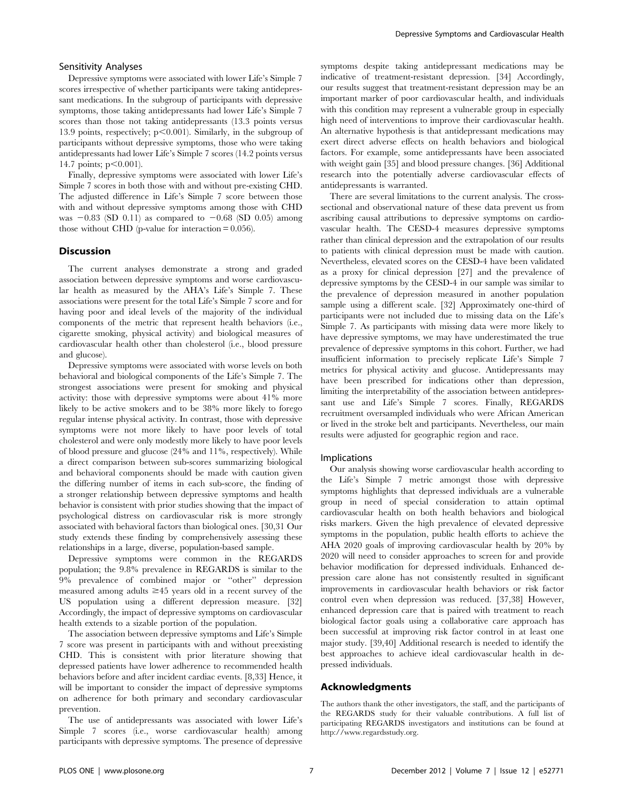# Sensitivity Analyses

Depressive symptoms were associated with lower Life's Simple 7 scores irrespective of whether participants were taking antidepressant medications. In the subgroup of participants with depressive symptoms, those taking antidepressants had lower Life's Simple 7 scores than those not taking antidepressants (13.3 points versus 13.9 points, respectively;  $p<0.001$ ). Similarly, in the subgroup of participants without depressive symptoms, those who were taking antidepressants had lower Life's Simple 7 scores (14.2 points versus 14.7 points;  $p<0.001$ ).

Finally, depressive symptoms were associated with lower Life's Simple 7 scores in both those with and without pre-existing CHD. The adjusted difference in Life's Simple 7 score between those with and without depressive symptoms among those with CHD was  $-0.83$  (SD 0.11) as compared to  $-0.68$  (SD 0.05) among those without CHD (p-value for interaction  $= 0.056$ ).

#### **Discussion**

The current analyses demonstrate a strong and graded association between depressive symptoms and worse cardiovascular health as measured by the AHA's Life's Simple 7. These associations were present for the total Life's Simple 7 score and for having poor and ideal levels of the majority of the individual components of the metric that represent health behaviors (i.e., cigarette smoking, physical activity) and biological measures of cardiovascular health other than cholesterol (i.e., blood pressure and glucose).

Depressive symptoms were associated with worse levels on both behavioral and biological components of the Life's Simple 7. The strongest associations were present for smoking and physical activity: those with depressive symptoms were about 41% more likely to be active smokers and to be 38% more likely to forego regular intense physical activity. In contrast, those with depressive symptoms were not more likely to have poor levels of total cholesterol and were only modestly more likely to have poor levels of blood pressure and glucose (24% and 11%, respectively). While a direct comparison between sub-scores summarizing biological and behavioral components should be made with caution given the differing number of items in each sub-score, the finding of a stronger relationship between depressive symptoms and health behavior is consistent with prior studies showing that the impact of psychological distress on cardiovascular risk is more strongly associated with behavioral factors than biological ones. [30,31 Our study extends these finding by comprehensively assessing these relationships in a large, diverse, population-based sample.

Depressive symptoms were common in the REGARDS population; the 9.8% prevalence in REGARDS is similar to the 9% prevalence of combined major or ''other'' depression measured among adults  $\geq 45$  years old in a recent survey of the US population using a different depression measure. [32] Accordingly, the impact of depressive symptoms on cardiovascular health extends to a sizable portion of the population.

The association between depressive symptoms and Life's Simple 7 score was present in participants with and without preexisting CHD. This is consistent with prior literature showing that depressed patients have lower adherence to recommended health behaviors before and after incident cardiac events. [8,33] Hence, it will be important to consider the impact of depressive symptoms on adherence for both primary and secondary cardiovascular prevention.

The use of antidepressants was associated with lower Life's Simple 7 scores (i.e., worse cardiovascular health) among participants with depressive symptoms. The presence of depressive symptoms despite taking antidepressant medications may be indicative of treatment-resistant depression. [34] Accordingly, our results suggest that treatment-resistant depression may be an important marker of poor cardiovascular health, and individuals with this condition may represent a vulnerable group in especially high need of interventions to improve their cardiovascular health. An alternative hypothesis is that antidepressant medications may exert direct adverse effects on health behaviors and biological factors. For example, some antidepressants have been associated with weight gain [35] and blood pressure changes. [36] Additional research into the potentially adverse cardiovascular effects of antidepressants is warranted.

There are several limitations to the current analysis. The crosssectional and observational nature of these data prevent us from ascribing causal attributions to depressive symptoms on cardiovascular health. The CESD-4 measures depressive symptoms rather than clinical depression and the extrapolation of our results to patients with clinical depression must be made with caution. Nevertheless, elevated scores on the CESD-4 have been validated as a proxy for clinical depression [27] and the prevalence of depressive symptoms by the CESD-4 in our sample was similar to the prevalence of depression measured in another population sample using a different scale. [32] Approximately one-third of participants were not included due to missing data on the Life's Simple 7. As participants with missing data were more likely to have depressive symptoms, we may have underestimated the true prevalence of depressive symptoms in this cohort. Further, we had insufficient information to precisely replicate Life's Simple 7 metrics for physical activity and glucose. Antidepressants may have been prescribed for indications other than depression, limiting the interpretability of the association between antidepressant use and Life's Simple 7 scores. Finally, REGARDS recruitment oversampled individuals who were African American or lived in the stroke belt and participants. Nevertheless, our main results were adjusted for geographic region and race.

#### Implications

Our analysis showing worse cardiovascular health according to the Life's Simple 7 metric amongst those with depressive symptoms highlights that depressed individuals are a vulnerable group in need of special consideration to attain optimal cardiovascular health on both health behaviors and biological risks markers. Given the high prevalence of elevated depressive symptoms in the population, public health efforts to achieve the AHA 2020 goals of improving cardiovascular health by 20% by 2020 will need to consider approaches to screen for and provide behavior modification for depressed individuals. Enhanced depression care alone has not consistently resulted in significant improvements in cardiovascular health behaviors or risk factor control even when depression was reduced. [37,38] However, enhanced depression care that is paired with treatment to reach biological factor goals using a collaborative care approach has been successful at improving risk factor control in at least one major study. [39,40] Additional research is needed to identify the best approaches to achieve ideal cardiovascular health in depressed individuals.

# Acknowledgments

The authors thank the other investigators, the staff, and the participants of the REGARDS study for their valuable contributions. A full list of participating REGARDS investigators and institutions can be found at http://www.regardsstudy.org.